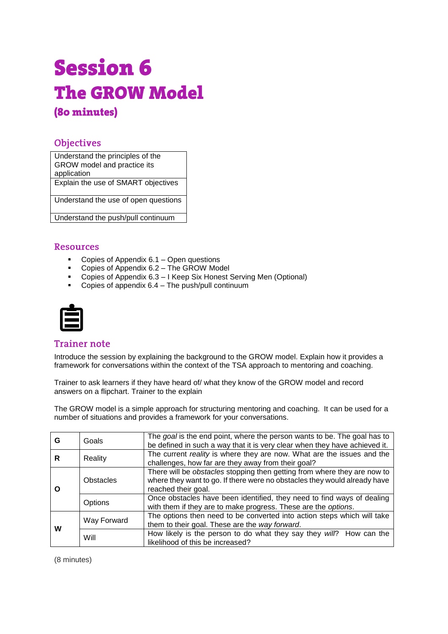# **Session 6 The GROW Model** (80 minutes)

# **Objectives**

Understand the principles of the GROW model and practice its application Explain the use of SMART objectives

Understand the use of open questions

Understand the push/pull continuum

## **Resources**

- **Copies of Appendix 6.1 Open questions**
- Copies of Appendix 6.2 The GROW Model
- Copies of Appendix 6.3 I Keep Six Honest Serving Men (Optional)
- Copies of appendix 6.4 The push/pull continuum



## **Trainer note**

Introduce the session by explaining the background to the GROW model. Explain how it provides a framework for conversations within the context of the TSA approach to mentoring and coaching.

Trainer to ask learners if they have heard of/ what they know of the GROW model and record answers on a flipchart. Trainer to the explain

The GROW model is a simple approach for structuring mentoring and coaching. It can be used for a number of situations and provides a framework for your conversations.

| G | Goals       | The goal is the end point, where the person wants to be. The goal has to<br>be defined in such a way that it is very clear when they have achieved it.                       |
|---|-------------|------------------------------------------------------------------------------------------------------------------------------------------------------------------------------|
| R | Reality     | The current reality is where they are now. What are the issues and the<br>challenges, how far are they away from their goal?                                                 |
| O | Obstacles   | There will be obstacles stopping then getting from where they are now to<br>where they want to go. If there were no obstacles they would already have<br>reached their goal. |
|   | Options     | Once obstacles have been identified, they need to find ways of dealing<br>with them if they are to make progress. These are the options.                                     |
| w | Way Forward | The options then need to be converted into action steps which will take<br>them to their goal. These are the way forward.                                                    |
|   | Will        | How likely is the person to do what they say they will? How can the<br>likelihood of this be increased?                                                                      |

(8 minutes)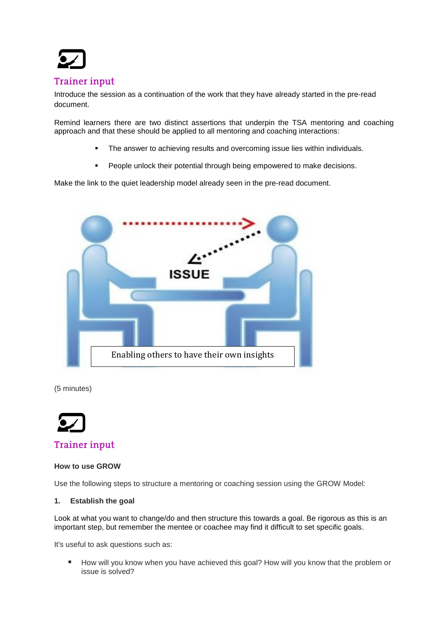

# **Trainer input**

Introduce the session as a continuation of the work that they have already started in the pre-read document.

Remind learners there are two distinct assertions that underpin the TSA mentoring and coaching approach and that these should be applied to all mentoring and coaching interactions:

- The answer to achieving results and overcoming issue lies within individuals.
- People unlock their potential through being empowered to make decisions.

Make the link to the quiet leadership model already seen in the pre-read document.



(5 minutes)



# **How to use GROW**

Use the following steps to structure a mentoring or coaching session using the GROW Model:

#### **1. Establish the goal**

Look at what you want to change/do and then structure this towards [a goal.](http://www.mindtools.com/page6.html) Be rigorous as this is an important step, but remember the mentee or coachee may find it difficult to set specific goals.

It's useful to ask questions such as:

■ How will you know when you have achieved this goal? How will you know that the problem or issue is solved?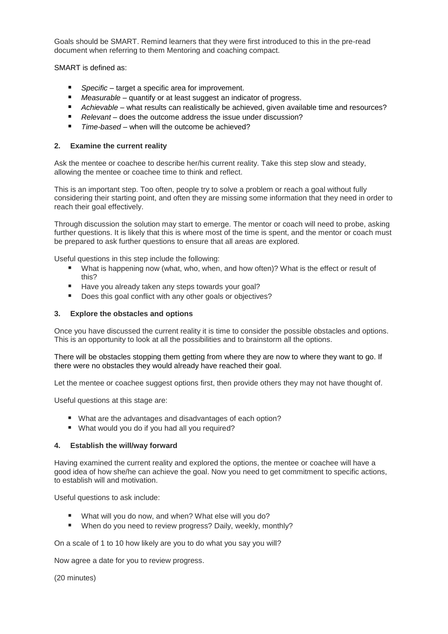Goals should be SMART. Remind learners that they were first introduced to this in the pre-read document when referring to them Mentoring and coaching compact.

SMART is defined as:

- *Specific* target a specific area for improvement.
- *Measurable* quantify or at least suggest an indicator of progress.
- *Achievable* what results can realistically be achieved, given available time and resources?
- *Relevant* does the outcome address the issue under discussion?
- *Time-based* when will the outcome be achieved?

### **2. Examine the current reality**

Ask the mentee or coachee to describe her/his current reality. Take this step slow and steady, allowing the mentee or coachee time to think and reflect.

This is an important step. Too often, people try to solve a problem or reach a goal without fully considering their starting point, and often they are missing some information that they need in order to reach their goal effectively.

Through discussion the solution may start to emerge. The mentor or coach will need to probe, asking further questions. It is likely that this is where most of the time is spent, and the mentor or coach must be prepared to ask further questions to ensure that all areas are explored.

Useful questions in this step include the following:

- What is happening now (what, who, when, and how often)? What is the effect or result of this?
- Have you already taken any steps towards your goal?
- Does this goal conflict with any other goals or objectives?

#### **3. Explore the obstacles and options**

Once you have discussed the current reality it is time to consider the possible obstacles and options. This is an opportunity to look at all the possibilities and to brainstorm all the options.

There will be obstacles stopping them getting from where they are now to where they want to go. If there were no obstacles they would already have reached their goal.

Let the mentee or coachee suggest options first, then provide others they may not have thought of.

Useful questions at this stage are:

- What are the advantages and disadvantages of each option?
- What would you do if you had all you required?

#### **4. Establish the will/way forward**

Having examined the current reality and explored the options, the mentee or coachee will have a good idea of how she/he can achieve the goal. Now you need to get commitment to specific actions, to establish will and motivation.

Useful questions to ask include:

- What will you do now, and when? What else will you do?
- When do you need to review progress? Daily, weekly, monthly?

On a scale of 1 to 10 how likely are you to do what you say you will?

Now agree a date for you to review progress.

(20 minutes)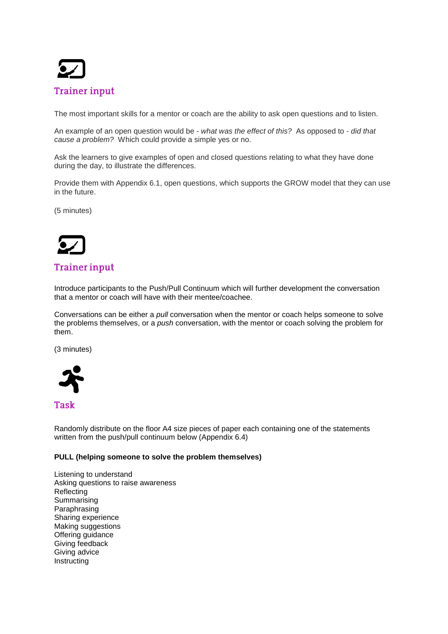

The most important skills for a mentor or coach are the ability to ask open questions and to listen.

An example of an open question would be - *what was the effect of this?* As opposed to - *did that cause a problem?* Which could provide a simple yes or no.

Ask the learners to give examples of open and closed questions relating to what they have done during the day, to illustrate the differences.

Provide them with Appendix 6.1, open questions, which supports the GROW model that they can use in the future.

(5 minutes)



# **Trainer input**

Introduce participants to the Push/Pull Continuum which will further development the conversation that a mentor or coach will have with their mentee/coachee.

Conversations can be either a *pull* conversation when the mentor or coach helps someone to solve the problems themselves, or a *push* conversation, with the mentor or coach solving the problem for them.

(3 minutes)



# **Task**

Randomly distribute on the floor A4 size pieces of paper each containing one of the statements written from the push/pull continuum below (Appendix 6.4)

#### **PULL (helping someone to solve the problem themselves)**

Listening to understand Asking questions to raise awareness Reflecting Summarising Paraphrasing Sharing experience Making suggestions Offering guidance Giving feedback Giving advice Instructing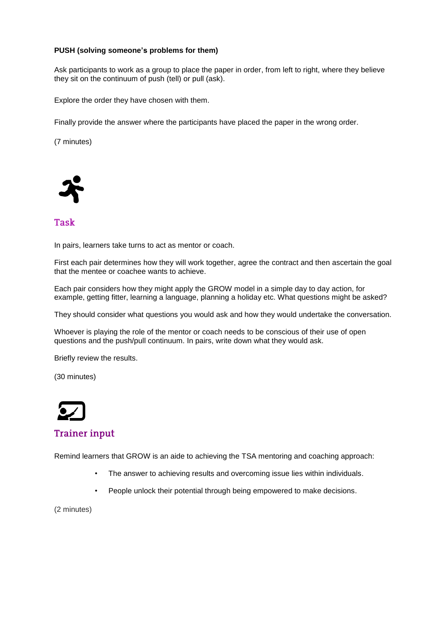### **PUSH (solving someone's problems for them)**

Ask participants to work as a group to place the paper in order, from left to right, where they believe they sit on the continuum of push (tell) or pull (ask).

Explore the order they have chosen with them.

Finally provide the answer where the participants have placed the paper in the wrong order.

(7 minutes)



## **Task**

In pairs, learners take turns to act as mentor or coach.

First each pair determines how they will work together, agree the contract and then ascertain the goal that the mentee or coachee wants to achieve.

Each pair considers how they might apply the GROW model in a simple day to day action, for example, getting fitter, learning a language, planning a holiday etc. What questions might be asked?

They should consider what questions you would ask and how they would undertake the conversation.

Whoever is playing the role of the mentor or coach needs to be conscious of their use of open questions and the push/pull continuum. In pairs, write down what they would ask.

Briefly review the results.

(30 minutes)



# **Trainer input**

Remind learners that GROW is an aide to achieving the TSA mentoring and coaching approach:

- The answer to achieving results and overcoming issue lies within individuals.
- People unlock their potential through being empowered to make decisions.

(2 minutes)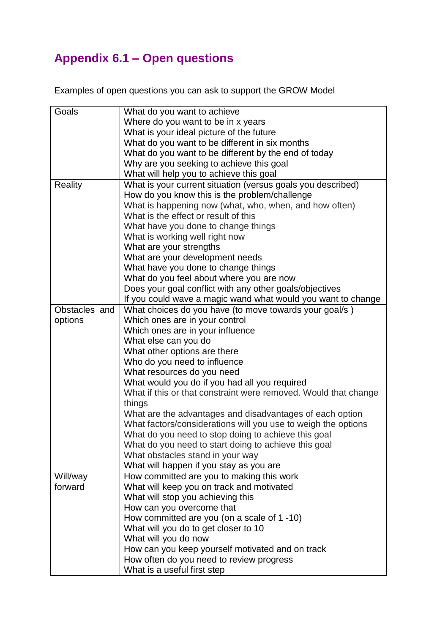# **Appendix 6.1 – Open questions**

Examples of open questions you can ask to support the GROW Model

| Goals          | What do you want to achieve                                     |
|----------------|-----------------------------------------------------------------|
|                | Where do you want to be in x years                              |
|                | What is your ideal picture of the future                        |
|                | What do you want to be different in six months                  |
|                | What do you want to be different by the end of today            |
|                | Why are you seeking to achieve this goal                        |
|                | What will help you to achieve this goal                         |
| <b>Reality</b> | What is your current situation (versus goals you described)     |
|                | How do you know this is the problem/challenge                   |
|                | What is happening now (what, who, when, and how often)          |
|                | What is the effect or result of this                            |
|                | What have you done to change things                             |
|                | What is working well right now                                  |
|                | What are your strengths                                         |
|                | What are your development needs                                 |
|                | What have you done to change things                             |
|                | What do you feel about where you are now                        |
|                | Does your goal conflict with any other goals/objectives         |
|                | If you could wave a magic wand what would you want to change    |
| Obstacles and  | What choices do you have (to move towards your goal/s)          |
| options        | Which ones are in your control                                  |
|                | Which ones are in your influence                                |
|                | What else can you do                                            |
|                | What other options are there                                    |
|                | Who do you need to influence                                    |
|                | What resources do you need                                      |
|                | What would you do if you had all you required                   |
|                | What if this or that constraint were removed. Would that change |
|                | things                                                          |
|                | What are the advantages and disadvantages of each option        |
|                | What factors/considerations will you use to weigh the options   |
|                | What do you need to stop doing to achieve this goal             |
|                | What do you need to start doing to achieve this goal            |
|                | What obstacles stand in your way                                |
|                | What will happen if you stay as you are                         |
| Will/way       | How committed are you to making this work                       |
| forward        | What will keep you on track and motivated                       |
|                | What will stop you achieving this                               |
|                | How can you overcome that                                       |
|                | How committed are you (on a scale of 1 -10)                     |
|                | What will you do to get closer to 10                            |
|                | What will you do now                                            |
|                | How can you keep yourself motivated and on track                |
|                | How often do you need to review progress                        |
|                | What is a useful first step                                     |
|                |                                                                 |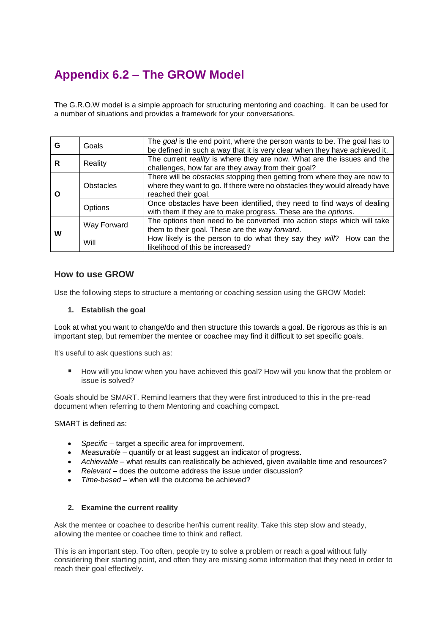# **Appendix 6.2 – The GROW Model**

The G.R.O.W model is a simple approach for structuring mentoring and coaching. It can be used for a number of situations and provides a framework for your conversations.

| G | Goals       | The goal is the end point, where the person wants to be. The goal has to<br>be defined in such a way that it is very clear when they have achieved it.                       |
|---|-------------|------------------------------------------------------------------------------------------------------------------------------------------------------------------------------|
| R | Reality     | The current reality is where they are now. What are the issues and the<br>challenges, how far are they away from their goal?                                                 |
|   | Obstacles   | There will be obstacles stopping then getting from where they are now to<br>where they want to go. If there were no obstacles they would already have<br>reached their goal. |
|   | Options     | Once obstacles have been identified, they need to find ways of dealing<br>with them if they are to make progress. These are the options.                                     |
| w | Way Forward | The options then need to be converted into action steps which will take<br>them to their goal. These are the way forward.                                                    |
|   | Will        | How likely is the person to do what they say they will? How can the<br>likelihood of this be increased?                                                                      |

## **How to use GROW**

Use the following steps to structure a mentoring or coaching session using the GROW Model:

#### **1. Establish the goal**

Look at what you want to change/do and then structure this towards [a goal.](http://www.mindtools.com/page6.html) Be rigorous as this is an important step, but remember the mentee or coachee may find it difficult to set specific goals.

It's useful to ask questions such as:

 How will you know when you have achieved this goal? How will you know that the problem or issue is solved?

Goals should be SMART. Remind learners that they were first introduced to this in the pre-read document when referring to them Mentoring and coaching compact.

SMART is defined as:

- *Specific* target a specific area for improvement.
- *Measurable* quantify or at least suggest an indicator of progress.
- *Achievable* what results can realistically be achieved, given available time and resources?
- *Relevant* does the outcome address the issue under discussion?
- *Time-based* when will the outcome be achieved?

#### **2. Examine the current reality**

Ask the mentee or coachee to describe her/his current reality. Take this step slow and steady, allowing the mentee or coachee time to think and reflect.

This is an important step. Too often, people try to solve a problem or reach a goal without fully considering their starting point, and often they are missing some information that they need in order to reach their goal effectively.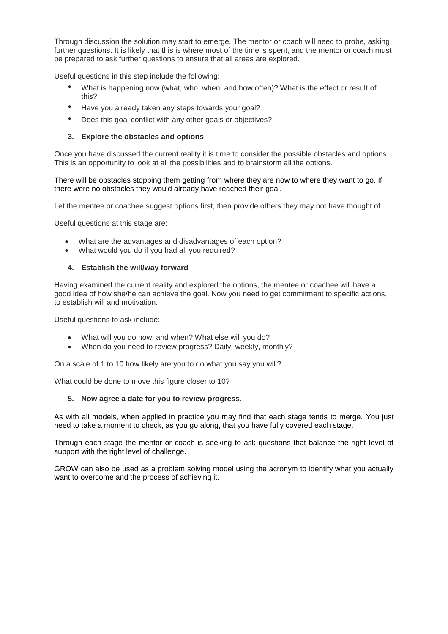Through discussion the solution may start to emerge. The mentor or coach will need to probe, asking further questions. It is likely that this is where most of the time is spent, and the mentor or coach must be prepared to ask further questions to ensure that all areas are explored.

Useful questions in this step include the following:

- What is happening now (what, who, when, and how often)? What is the effect or result of this?
- Have you already taken any steps towards your goal?
- Does this goal conflict with any other goals or objectives?

#### **3. Explore the obstacles and options**

Once you have discussed the current reality it is time to consider the possible obstacles and options. This is an opportunity to look at all the possibilities and to brainstorm all the options.

There will be obstacles stopping them getting from where they are now to where they want to go. If there were no obstacles they would already have reached their goal.

Let the mentee or coachee suggest options first, then provide others they may not have thought of.

Useful questions at this stage are:

- What are the advantages and disadvantages of each option?
- What would you do if you had all you required?

#### **4. Establish the will/way forward**

Having examined the current reality and explored the options, the mentee or coachee will have a good idea of how she/he can achieve the goal. Now you need to get commitment to specific actions, to establish will and motivation.

Useful questions to ask include:

- What will you do now, and when? What else will you do?
- When do you need to review progress? Daily, weekly, monthly?

On a scale of 1 to 10 how likely are you to do what you say you will?

What could be done to move this figure closer to 10?

#### **5. Now agree a date for you to review progress**.

As with all models, when applied in practice you may find that each stage tends to merge. You just need to take a moment to check, as you go along, that you have fully covered each stage.

Through each stage the mentor or coach is seeking to ask questions that balance the right level of support with the right level of challenge.

GROW can also be used as a problem solving model using the acronym to identify what you actually want to overcome and the process of achieving it.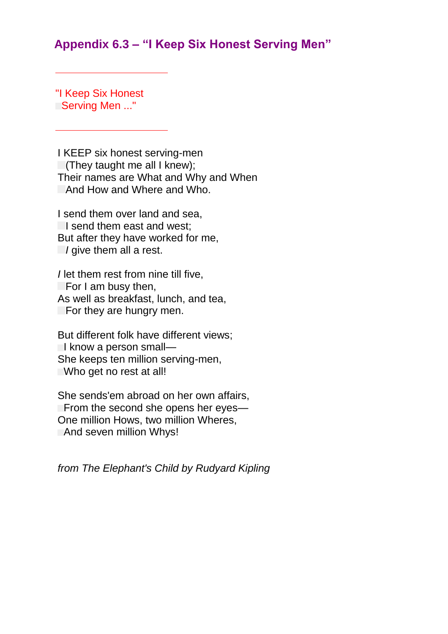# **Appendix 6.3 – "I Keep Six Honest Serving Men"**

"I Keep Six Honest Serving Men ..."

I KEEP six honest serving-men  $\Box$  (They taught me all I knew); Their names are What and Why and When And How and Where and Who.

I send them over land and sea, I send them east and west; But after they have worked for me, *I* give them all a rest.

*I* let them rest from nine till five,  $\Box$  For I am busy then, As well as breakfast, lunch, and tea,  $\Box$  For they are hungry men.

But different folk have different views;  $\Box$  know a person small— She keeps ten million serving-men, Who get no rest at all!

She sends'em abroad on her own affairs, From the second she opens her eyes— One million Hows, two million Wheres, **And seven million Whys!** 

*from The Elephant's Child by Rudyard Kipling*